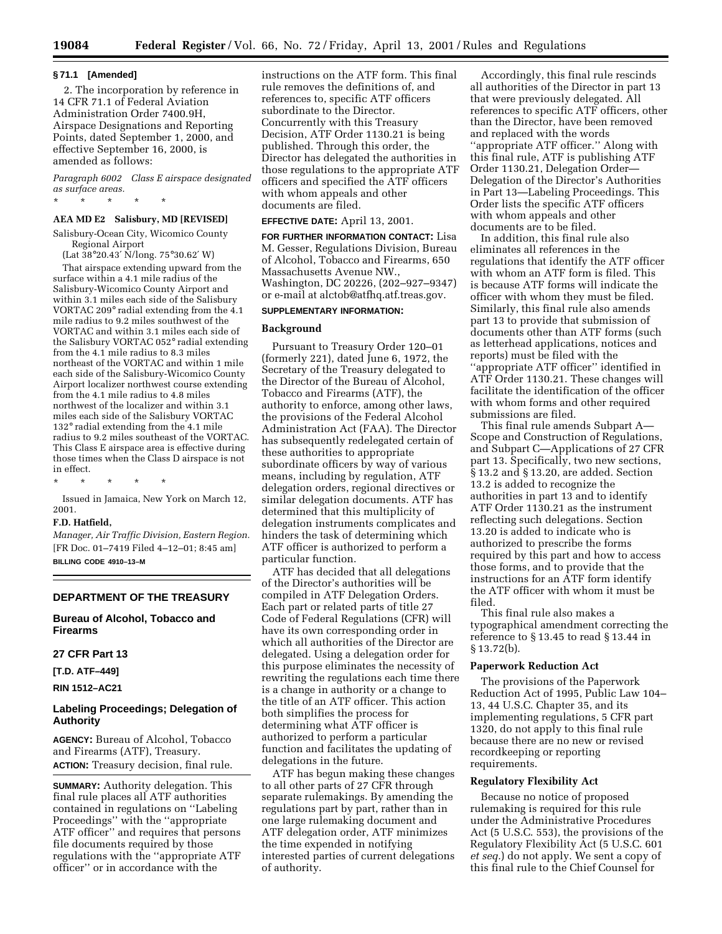#### **§ 71.1 [Amended]**

2. The incorporation by reference in 14 CFR 71.1 of Federal Aviation Administration Order 7400.9H, Airspace Designations and Reporting Points, dated September 1, 2000, and effective September 16, 2000, is amended as follows:

*Paragraph 6002 Class E airspace designated as surface areas.*

\* \* \* \* \*

# **AEA MD E2 Salisbury, MD [REVISED]**

Salisbury-Ocean City, Wicomico County Regional Airport

(Lat 38°20.43′ N/long. 75°30.62′ W) That airspace extending upward from the surface within a 4.1 mile radius of the Salisbury-Wicomico County Airport and within 3.1 miles each side of the Salisbury VORTAC 209° radial extending from the 4.1 mile radius to 9.2 miles southwest of the VORTAC and within 3.1 miles each side of the Salisbury VORTAC 052° radial extending from the 4.1 mile radius to 8.3 miles northeast of the VORTAC and within 1 mile each side of the Salisbury-Wicomico County Airport localizer northwest course extending from the 4.1 mile radius to 4.8 miles northwest of the localizer and within 3.1 miles each side of the Salisbury VORTAC 132° radial extending from the 4.1 mile radius to 9.2 miles southeast of the VORTAC. This Class E airspace area is effective during those times when the Class D airspace is not in effect.

\* \* \* \* \*

Issued in Jamaica, New York on March 12, 2001.

### **F.D. Hatfield,**

*Manager, Air Traffic Division, Eastern Region.* [FR Doc. 01–7419 Filed 4–12–01; 8:45 am] **BILLING CODE 4910–13–M**

# **DEPARTMENT OF THE TREASURY**

# **Bureau of Alcohol, Tobacco and Firearms**

# **27 CFR Part 13**

**[T.D. ATF–449]**

**RIN 1512–AC21**

# **Labeling Proceedings; Delegation of Authority**

**AGENCY:** Bureau of Alcohol, Tobacco and Firearms (ATF), Treasury. **ACTION:** Treasury decision, final rule.

**SUMMARY:** Authority delegation. This final rule places all ATF authorities contained in regulations on ''Labeling Proceedings'' with the ''appropriate ATF officer'' and requires that persons file documents required by those regulations with the ''appropriate ATF officer'' or in accordance with the

instructions on the ATF form. This final rule removes the definitions of, and references to, specific ATF officers subordinate to the Director. Concurrently with this Treasury Decision, ATF Order 1130.21 is being published. Through this order, the Director has delegated the authorities in those regulations to the appropriate ATF officers and specified the ATF officers with whom appeals and other documents are filed.

#### **EFFECTIVE DATE:** April 13, 2001.

**FOR FURTHER INFORMATION CONTACT:** Lisa M. Gesser, Regulations Division, Bureau of Alcohol, Tobacco and Firearms, 650 Massachusetts Avenue NW., Washington, DC 20226, (202–927–9347) or e-mail at alctob@atfhq.atf.treas.gov.

# **SUPPLEMENTARY INFORMATION:**

# **Background**

Pursuant to Treasury Order 120–01 (formerly 221), dated June 6, 1972, the Secretary of the Treasury delegated to the Director of the Bureau of Alcohol, Tobacco and Firearms (ATF), the authority to enforce, among other laws, the provisions of the Federal Alcohol Administration Act (FAA). The Director has subsequently redelegated certain of these authorities to appropriate subordinate officers by way of various means, including by regulation, ATF delegation orders, regional directives or similar delegation documents. ATF has determined that this multiplicity of delegation instruments complicates and hinders the task of determining which ATF officer is authorized to perform a particular function.

ATF has decided that all delegations of the Director's authorities will be compiled in ATF Delegation Orders. Each part or related parts of title 27 Code of Federal Regulations (CFR) will have its own corresponding order in which all authorities of the Director are delegated. Using a delegation order for this purpose eliminates the necessity of rewriting the regulations each time there is a change in authority or a change to the title of an ATF officer. This action both simplifies the process for determining what ATF officer is authorized to perform a particular function and facilitates the updating of delegations in the future.

ATF has begun making these changes to all other parts of 27 CFR through separate rulemakings. By amending the regulations part by part, rather than in one large rulemaking document and ATF delegation order, ATF minimizes the time expended in notifying interested parties of current delegations of authority.

Accordingly, this final rule rescinds all authorities of the Director in part 13 that were previously delegated. All references to specific ATF officers, other than the Director, have been removed and replaced with the words ''appropriate ATF officer.'' Along with this final rule, ATF is publishing ATF Order 1130.21, Delegation Order— Delegation of the Director's Authorities in Part 13—Labeling Proceedings. This Order lists the specific ATF officers with whom appeals and other documents are to be filed.

In addition, this final rule also eliminates all references in the regulations that identify the ATF officer with whom an ATF form is filed. This is because ATF forms will indicate the officer with whom they must be filed. Similarly, this final rule also amends part 13 to provide that submission of documents other than ATF forms (such as letterhead applications, notices and reports) must be filed with the ''appropriate ATF officer'' identified in ATF Order 1130.21. These changes will facilitate the identification of the officer with whom forms and other required submissions are filed.

This final rule amends Subpart A— Scope and Construction of Regulations, and Subpart C—Applications of 27 CFR part 13. Specifically, two new sections, § 13.2 and § 13.20, are added. Section 13.2 is added to recognize the authorities in part 13 and to identify ATF Order 1130.21 as the instrument reflecting such delegations. Section 13.20 is added to indicate who is authorized to prescribe the forms required by this part and how to access those forms, and to provide that the instructions for an ATF form identify the ATF officer with whom it must be filed.

This final rule also makes a typographical amendment correcting the reference to § 13.45 to read § 13.44 in § 13.72(b).

# **Paperwork Reduction Act**

The provisions of the Paperwork Reduction Act of 1995, Public Law 104– 13, 44 U.S.C. Chapter 35, and its implementing regulations, 5 CFR part 1320, do not apply to this final rule because there are no new or revised recordkeeping or reporting requirements.

#### **Regulatory Flexibility Act**

Because no notice of proposed rulemaking is required for this rule under the Administrative Procedures Act (5 U.S.C. 553), the provisions of the Regulatory Flexibility Act (5 U.S.C. 601 *et seq.*) do not apply. We sent a copy of this final rule to the Chief Counsel for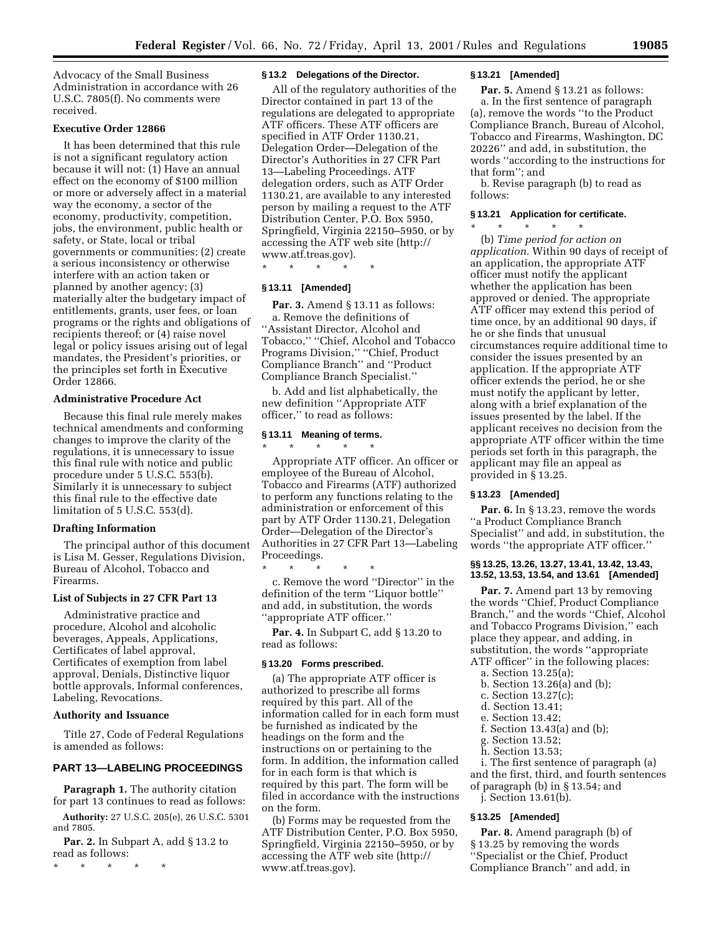Advocacy of the Small Business Administration in accordance with 26 U.S.C. 7805(f). No comments were received.

# **Executive Order 12866**

It has been determined that this rule is not a significant regulatory action because it will not: (1) Have an annual effect on the economy of \$100 million or more or adversely affect in a material way the economy, a sector of the economy, productivity, competition, jobs, the environment, public health or safety, or State, local or tribal governments or communities; (2) create a serious inconsistency or otherwise interfere with an action taken or planned by another agency; (3) materially alter the budgetary impact of entitlements, grants, user fees, or loan programs or the rights and obligations of recipients thereof; or (4) raise novel legal or policy issues arising out of legal mandates, the President's priorities, or the principles set forth in Executive Order 12866.

### **Administrative Procedure Act**

Because this final rule merely makes technical amendments and conforming changes to improve the clarity of the regulations, it is unnecessary to issue this final rule with notice and public procedure under 5 U.S.C. 553(b). Similarly it is unnecessary to subject this final rule to the effective date limitation of 5 U.S.C. 553(d).

#### **Drafting Information**

The principal author of this document is Lisa M. Gesser, Regulations Division, Bureau of Alcohol, Tobacco and Firearms.

#### **List of Subjects in 27 CFR Part 13**

Administrative practice and procedure, Alcohol and alcoholic beverages, Appeals, Applications, Certificates of label approval, Certificates of exemption from label approval, Denials, Distinctive liquor bottle approvals, Informal conferences, Labeling, Revocations.

### **Authority and Issuance**

Title 27, Code of Federal Regulations is amended as follows:

#### **PART 13—LABELING PROCEEDINGS**

**Paragraph 1.** The authority citation for part 13 continues to read as follows:

**Authority:** 27 U.S.C. 205(e), 26 U.S.C. 5301 and 7805.

**Par. 2.** In Subpart A, add § 13.2 to read as follows:

\* \* \* \* \*

#### **§ 13.2 Delegations of the Director.**

All of the regulatory authorities of the Director contained in part 13 of the regulations are delegated to appropriate ATF officers. These ATF officers are specified in ATF Order 1130.21, Delegation Order—Delegation of the Director's Authorities in 27 CFR Part 13—Labeling Proceedings. ATF delegation orders, such as ATF Order 1130.21, are available to any interested person by mailing a request to the ATF Distribution Center, P.O. Box 5950, Springfield, Virginia 22150–5950, or by accessing the ATF web site (http:// www.atf.treas.gov).

\* \* \* \* \*

#### **§ 13.11 [Amended]**

**Par. 3.** Amend § 13.11 as follows: a. Remove the definitions of ''Assistant Director, Alcohol and Tobacco,'' ''Chief, Alcohol and Tobacco Programs Division,'' ''Chief, Product Compliance Branch'' and ''Product Compliance Branch Specialist.''

b. Add and list alphabetically, the new definition ''Appropriate ATF officer,'' to read as follows:

#### **§ 13.11 Meaning of terms.**

 $\star$   $\star$   $\star$ Appropriate ATF officer. An officer or employee of the Bureau of Alcohol, Tobacco and Firearms (ATF) authorized to perform any functions relating to the administration or enforcement of this part by ATF Order 1130.21, Delegation Order—Delegation of the Director's Authorities in 27 CFR Part 13—Labeling Proceedings.

\* \* \* \* \* c. Remove the word ''Director'' in the definition of the term ''Liquor bottle'' and add, in substitution, the words ''appropriate ATF officer.''

**Par. 4.** In Subpart C, add § 13.20 to read as follows:

#### **§ 13.20 Forms prescribed.**

(a) The appropriate ATF officer is authorized to prescribe all forms required by this part. All of the information called for in each form must be furnished as indicated by the headings on the form and the instructions on or pertaining to the form. In addition, the information called for in each form is that which is required by this part. The form will be filed in accordance with the instructions on the form.

(b) Forms may be requested from the ATF Distribution Center, P.O. Box 5950, Springfield, Virginia 22150–5950, or by accessing the ATF web site (http:// www.atf.treas.gov).

#### **§ 13.21 [Amended]**

**Par. 5.** Amend § 13.21 as follows: a. In the first sentence of paragraph (a), remove the words ''to the Product Compliance Branch, Bureau of Alcohol, Tobacco and Firearms, Washington, DC 20226'' and add, in substitution, the words ''according to the instructions for that form''; and

b. Revise paragraph (b) to read as follows:

### **§ 13.21 Application for certificate.**

\* \* \* \* \* (b) *Time period for action on application.* Within 90 days of receipt of an application, the appropriate ATF officer must notify the applicant whether the application has been approved or denied. The appropriate ATF officer may extend this period of time once, by an additional 90 days, if he or she finds that unusual circumstances require additional time to consider the issues presented by an application. If the appropriate ATF officer extends the period, he or she must notify the applicant by letter, along with a brief explanation of the issues presented by the label. If the applicant receives no decision from the appropriate ATF officer within the time periods set forth in this paragraph, the applicant may file an appeal as provided in § 13.25.

### **§ 13.23 [Amended]**

**Par. 6.** In § 13.23, remove the words ''a Product Compliance Branch Specialist'' and add, in substitution, the words ''the appropriate ATF officer.''

### **§§ 13.25, 13.26, 13.27, 13.41, 13.42, 13.43, 13.52, 13.53, 13.54, and 13.61 [Amended]**

Par. 7. Amend part 13 by removing the words ''Chief, Product Compliance Branch,'' and the words ''Chief, Alcohol and Tobacco Programs Division,'' each place they appear, and adding, in substitution, the words ''appropriate ATF officer'' in the following places:

- a. Section 13.25(a);
- b. Section 13.26(a) and (b);
- c. Section 13.27(c);
- d. Section 13.41;
- e. Section 13.42;
- f. Section 13.43(a) and (b);
- g. Section 13.52;
- h. Section 13.53;

i. The first sentence of paragraph (a) and the first, third, and fourth sentences of paragraph (b) in § 13.54; and

j. Section 13.61(b).

#### **§ 13.25 [Amended]**

**Par. 8.** Amend paragraph (b) of § 13.25 by removing the words ''Specialist or the Chief, Product Compliance Branch'' and add, in